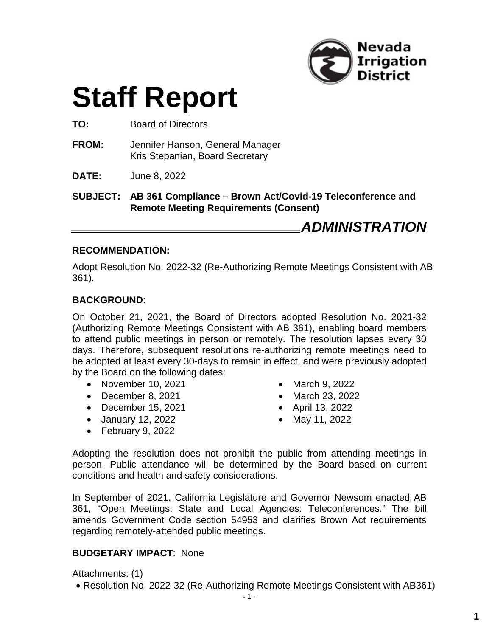

# **Staff Report**

**TO:** Board of Directors

- **FROM:** Jennifer Hanson, General Manager Kris Stepanian, Board Secretary
- **DATE:** June 8, 2022

**SUBJECT: AB 361 Compliance – Brown Act/Covid-19 Teleconference and Remote Meeting Requirements (Consent)**

*ADMINISTRATION*

#### **RECOMMENDATION:**

Adopt Resolution No. 2022-32 (Re-Authorizing Remote Meetings Consistent with AB 361).

### **BACKGROUND**:

On October 21, 2021, the Board of Directors adopted Resolution No. 2021-32 (Authorizing Remote Meetings Consistent with AB 361), enabling board members to attend public meetings in person or remotely. The resolution lapses every 30 days. Therefore, subsequent resolutions re-authorizing remote meetings need to be adopted at least every 30-days to remain in effect, and were previously adopted by the Board on the following dates:

- November 10, 2021
- December 8, 2021
- December 15, 2021
- January 12, 2022
- February 9, 2022
- March 9, 2022
- March 23, 2022
- April 13, 2022
- May 11, 2022

Adopting the resolution does not prohibit the public from attending meetings in person. Public attendance will be determined by the Board based on current conditions and health and safety considerations.

In September of 2021, California Legislature and Governor Newsom enacted AB 361, "Open Meetings: State and Local Agencies: Teleconferences." The bill amends Government Code section 54953 and clarifies Brown Act requirements regarding remotely-attended public meetings.

### **BUDGETARY IMPACT**: None

Attachments: (1)

Resolution No. 2022-32 (Re-Authorizing Remote Meetings Consistent with AB361)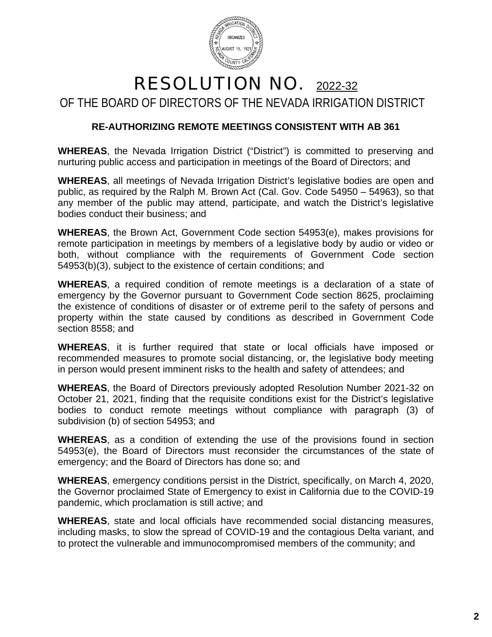

# RESOLUTION NO. 2022-32 OF THE BOARD OF DIRECTORS OF THE NEVADA IRRIGATION DISTRICT

## **RE-AUTHORIZING REMOTE MEETINGS CONSISTENT WITH AB 361**

**WHEREAS**, the Nevada Irrigation District ("District") is committed to preserving and nurturing public access and participation in meetings of the Board of Directors; and

**WHEREAS**, all meetings of Nevada Irrigation District's legislative bodies are open and public, as required by the Ralph M. Brown Act (Cal. Gov. Code 54950 – 54963), so that any member of the public may attend, participate, and watch the District's legislative bodies conduct their business; and

**WHEREAS**, the Brown Act, Government Code section 54953(e), makes provisions for remote participation in meetings by members of a legislative body by audio or video or both, without compliance with the requirements of Government Code section 54953(b)(3), subject to the existence of certain conditions; and

**WHEREAS**, a required condition of remote meetings is a declaration of a state of emergency by the Governor pursuant to Government Code section 8625, proclaiming the existence of conditions of disaster or of extreme peril to the safety of persons and property within the state caused by conditions as described in Government Code section 8558; and

**WHEREAS**, it is further required that state or local officials have imposed or recommended measures to promote social distancing, or, the legislative body meeting in person would present imminent risks to the health and safety of attendees; and

**WHEREAS**, the Board of Directors previously adopted Resolution Number 2021-32 on October 21, 2021, finding that the requisite conditions exist for the District's legislative bodies to conduct remote meetings without compliance with paragraph (3) of subdivision (b) of section 54953; and

**WHEREAS**, as a condition of extending the use of the provisions found in section 54953(e), the Board of Directors must reconsider the circumstances of the state of emergency; and the Board of Directors has done so; and

**WHEREAS**, emergency conditions persist in the District, specifically, on March 4, 2020, the Governor proclaimed State of Emergency to exist in California due to the COVID-19 pandemic, which proclamation is still active; and

**WHEREAS**, state and local officials have recommended social distancing measures, including masks, to slow the spread of COVID-19 and the contagious Delta variant, and to protect the vulnerable and immunocompromised members of the community; and